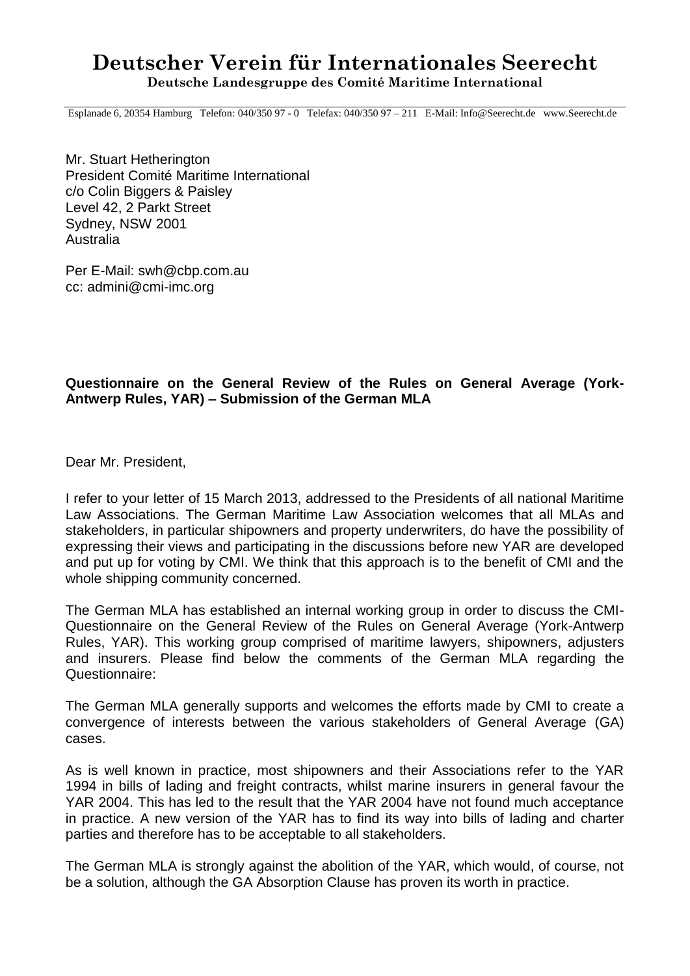# **Deutscher Verein für Internationales Seerecht Deutsche Landesgruppe des Comité Maritime International**

Esplanade 6, 20354 Hamburg Telefon: 040/350 97 - 0 Telefax: 040/350 97 – 211 E-Mail: Info@Seerecht.de www.Seerecht.de

Mr. Stuart Hetherington President Comité Maritime International c/o Colin Biggers & Paisley Level 42, 2 Parkt Street Sydney, NSW 2001 Australia

Per E-Mail: swh@cbp.com.au cc: [admini@cmi-imc.org](mailto:admini@cmi-imc.org)

# **Questionnaire on the General Review of the Rules on General Average (York-Antwerp Rules, YAR) – Submission of the German MLA**

Dear Mr. President,

I refer to your letter of 15 March 2013, addressed to the Presidents of all national Maritime Law Associations. The German Maritime Law Association welcomes that all MLAs and stakeholders, in particular shipowners and property underwriters, do have the possibility of expressing their views and participating in the discussions before new YAR are developed and put up for voting by CMI. We think that this approach is to the benefit of CMI and the whole shipping community concerned.

The German MLA has established an internal working group in order to discuss the CMI-Questionnaire on the General Review of the Rules on General Average (York-Antwerp Rules, YAR). This working group comprised of maritime lawyers, shipowners, adjusters and insurers. Please find below the comments of the German MLA regarding the Questionnaire:

The German MLA generally supports and welcomes the efforts made by CMI to create a convergence of interests between the various stakeholders of General Average (GA) cases.

As is well known in practice, most shipowners and their Associations refer to the YAR 1994 in bills of lading and freight contracts, whilst marine insurers in general favour the YAR 2004. This has led to the result that the YAR 2004 have not found much acceptance in practice. A new version of the YAR has to find its way into bills of lading and charter parties and therefore has to be acceptable to all stakeholders.

The German MLA is strongly against the abolition of the YAR, which would, of course, not be a solution, although the GA Absorption Clause has proven its worth in practice.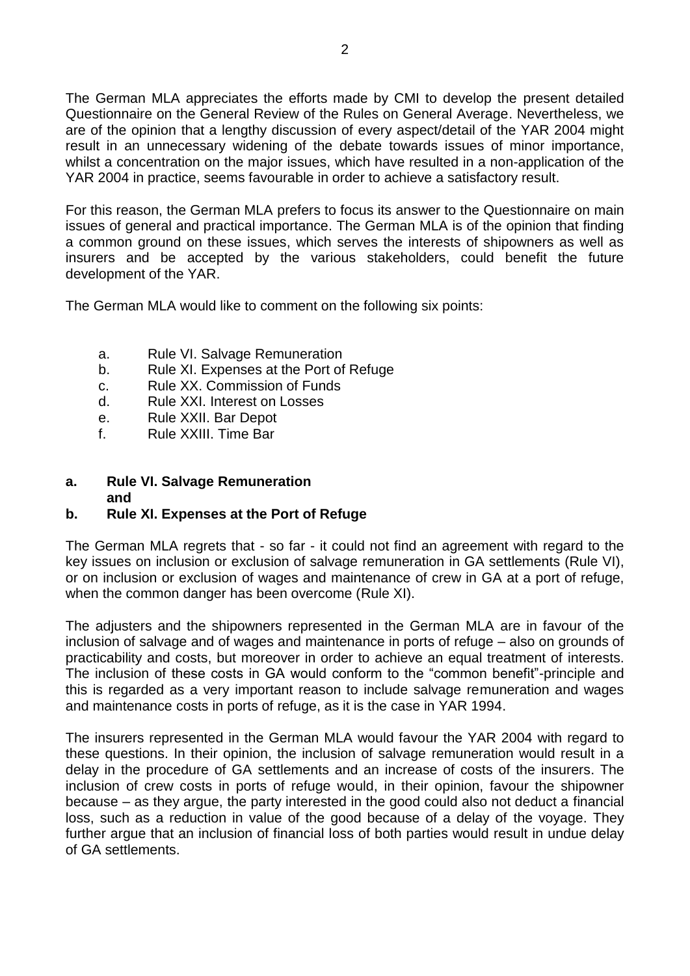The German MLA appreciates the efforts made by CMI to develop the present detailed Questionnaire on the General Review of the Rules on General Average. Nevertheless, we are of the opinion that a lengthy discussion of every aspect/detail of the YAR 2004 might result in an unnecessary widening of the debate towards issues of minor importance, whilst a concentration on the major issues, which have resulted in a non-application of the YAR 2004 in practice, seems favourable in order to achieve a satisfactory result.

For this reason, the German MLA prefers to focus its answer to the Questionnaire on main issues of general and practical importance. The German MLA is of the opinion that finding a common ground on these issues, which serves the interests of shipowners as well as insurers and be accepted by the various stakeholders, could benefit the future development of the YAR.

The German MLA would like to comment on the following six points:

- a. Rule VI. Salvage Remuneration
- b. Rule XI. Expenses at the Port of Refuge
- c. Rule XX. Commission of Funds
- d. Rule XXI. Interest on Losses
- e. Rule XXII. Bar Depot
- f. Rule XXIII. Time Bar

#### **a. Rule VI. Salvage Remuneration and**

### **b. Rule XI. Expenses at the Port of Refuge**

The German MLA regrets that - so far - it could not find an agreement with regard to the key issues on inclusion or exclusion of salvage remuneration in GA settlements (Rule VI), or on inclusion or exclusion of wages and maintenance of crew in GA at a port of refuge, when the common danger has been overcome (Rule XI).

The adjusters and the shipowners represented in the German MLA are in favour of the inclusion of salvage and of wages and maintenance in ports of refuge – also on grounds of practicability and costs, but moreover in order to achieve an equal treatment of interests. The inclusion of these costs in GA would conform to the "common benefit"-principle and this is regarded as a very important reason to include salvage remuneration and wages and maintenance costs in ports of refuge, as it is the case in YAR 1994.

The insurers represented in the German MLA would favour the YAR 2004 with regard to these questions. In their opinion, the inclusion of salvage remuneration would result in a delay in the procedure of GA settlements and an increase of costs of the insurers. The inclusion of crew costs in ports of refuge would, in their opinion, favour the shipowner because – as they argue, the party interested in the good could also not deduct a financial loss, such as a reduction in value of the good because of a delay of the voyage. They further argue that an inclusion of financial loss of both parties would result in undue delay of GA settlements.